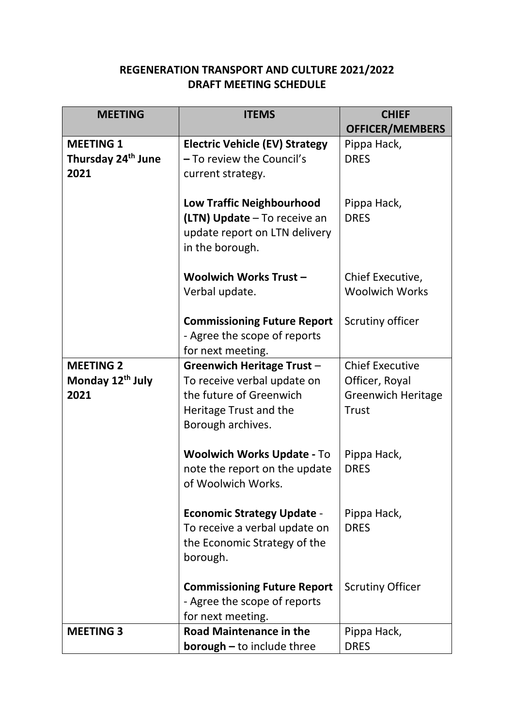## **REGENERATION TRANSPORT AND CULTURE 2021/2022 DRAFT MEETING SCHEDULE**

| <b>MEETING</b>                 | <b>ITEMS</b>                          | <b>CHIEF</b>              |
|--------------------------------|---------------------------------------|---------------------------|
|                                |                                       | <b>OFFICER/MEMBERS</b>    |
| <b>MEETING 1</b>               | <b>Electric Vehicle (EV) Strategy</b> | Pippa Hack,               |
| Thursday 24 <sup>th</sup> June | - To review the Council's             | <b>DRES</b>               |
| 2021                           | current strategy.                     |                           |
|                                |                                       |                           |
|                                | <b>Low Traffic Neighbourhood</b>      | Pippa Hack,               |
|                                | (LTN) Update - To receive an          | <b>DRES</b>               |
|                                | update report on LTN delivery         |                           |
|                                | in the borough.                       |                           |
|                                | Woolwich Works Trust-                 | Chief Executive,          |
|                                | Verbal update.                        | <b>Woolwich Works</b>     |
|                                |                                       |                           |
|                                | <b>Commissioning Future Report</b>    | Scrutiny officer          |
|                                | - Agree the scope of reports          |                           |
|                                | for next meeting.                     |                           |
| <b>MEETING 2</b>               | <b>Greenwich Heritage Trust -</b>     | <b>Chief Executive</b>    |
| Monday 12 <sup>th</sup> July   | To receive verbal update on           | Officer, Royal            |
| 2021                           | the future of Greenwich               | <b>Greenwich Heritage</b> |
|                                | Heritage Trust and the                | <b>Trust</b>              |
|                                | Borough archives.                     |                           |
|                                | <b>Woolwich Works Update - To</b>     | Pippa Hack,               |
|                                | note the report on the update         | <b>DRES</b>               |
|                                | of Woolwich Works.                    |                           |
|                                |                                       |                           |
|                                | <b>Economic Strategy Update -</b>     | Pippa Hack,               |
|                                | To receive a verbal update on         | <b>DRES</b>               |
|                                | the Economic Strategy of the          |                           |
|                                | borough.                              |                           |
|                                | <b>Commissioning Future Report</b>    | <b>Scrutiny Officer</b>   |
|                                | - Agree the scope of reports          |                           |
|                                | for next meeting.                     |                           |
| <b>MEETING 3</b>               | <b>Road Maintenance in the</b>        | Pippa Hack,               |
|                                | <b>borough</b> - to include three     | <b>DRES</b>               |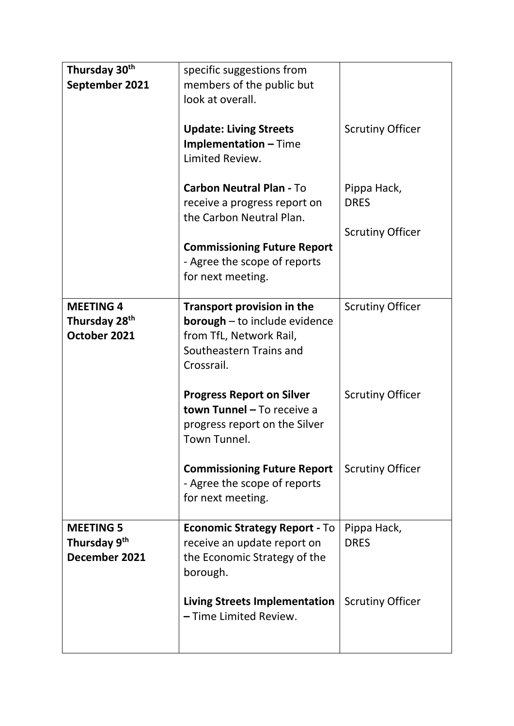| Thursday 30 <sup>th</sup><br>September 2021                   | specific suggestions from<br>members of the public but<br>look at overall.                                                             |                            |
|---------------------------------------------------------------|----------------------------------------------------------------------------------------------------------------------------------------|----------------------------|
|                                                               | <b>Update: Living Streets</b><br><b>Implementation - Time</b><br>Limited Review.                                                       | <b>Scrutiny Officer</b>    |
|                                                               | <b>Carbon Neutral Plan - To</b><br>receive a progress report on<br>the Carbon Neutral Plan.                                            | Pippa Hack,<br><b>DRES</b> |
|                                                               | <b>Commissioning Future Report</b><br>- Agree the scope of reports<br>for next meeting.                                                | <b>Scrutiny Officer</b>    |
| <b>MEETING 4</b><br>Thursday 28 <sup>th</sup><br>October 2021 | Transport provision in the<br><b>borough</b> - to include evidence<br>from TfL, Network Rail,<br>Southeastern Trains and<br>Crossrail. | <b>Scrutiny Officer</b>    |
|                                                               | <b>Progress Report on Silver</b><br>town Tunnel - To receive a<br>progress report on the Silver<br>Town Tunnel.                        | <b>Scrutiny Officer</b>    |
|                                                               | <b>Commissioning Future Report</b><br>- Agree the scope of reports<br>for next meeting.                                                | <b>Scrutiny Officer</b>    |
| <b>MEETING 5</b><br>Thursday 9 <sup>th</sup><br>December 2021 | <b>Economic Strategy Report - To</b><br>receive an update report on<br>the Economic Strategy of the<br>borough.                        | Pippa Hack,<br><b>DRES</b> |
|                                                               | <b>Living Streets Implementation</b><br>- Time Limited Review.                                                                         | <b>Scrutiny Officer</b>    |